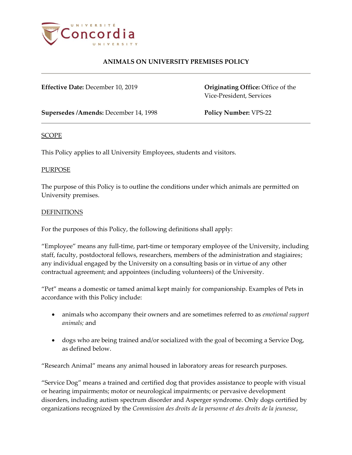

# **ANIMALS ON UNIVERSITY PREMISES POLICY**

**Effective Date:** December 10, 2019 **Originating Office:** Office of the

Vice-President, Services

**Supersedes /Amends:** December 14, 1998 **Policy Number:** VPS-22

#### SCOPE

This Policy applies to all University Employees, students and visitors.

#### PURPOSE

The purpose of this Policy is to outline the conditions under which animals are permitted on University premises.

#### DEFINITIONS

For the purposes of this Policy, the following definitions shall apply:

"Employee" means any full-time, part-time or temporary employee of the University, including staff, faculty, postdoctoral fellows, researchers, members of the administration and stagiaires; any individual engaged by the University on a consulting basis or in virtue of any other contractual agreement; and appointees (including volunteers) of the University.

"Pet" means a domestic or tamed animal kept mainly for companionship. Examples of Pets in accordance with this Policy include:

- animals who accompany their owners and are sometimes referred to as *emotional support animals;* and
- dogs who are being trained and/or socialized with the goal of becoming a Service Dog, as defined below.

"Research Animal" means any animal housed in laboratory areas for research purposes.

"Service Dog" means a trained and certified dog that provides assistance to people with visual or hearing impairments; motor or neurological impairments; or pervasive development disorders, including autism spectrum disorder and Asperger syndrome. Only dogs certified by organizations recognized by the *Commission des droits de la personne et des droits de la jeunesse*,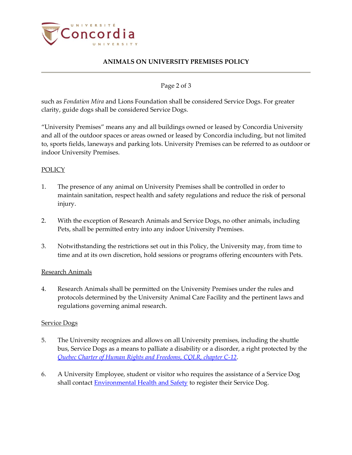

# **ANIMALS ON UNIVERSITY PREMISES POLICY**

Page 2 of 3

such as *Fondation Mira* and Lions Foundation shall be considered Service Dogs. For greater clarity, guide dogs shall be considered Service Dogs.

"University Premises" means any and all buildings owned or leased by Concordia University and all of the outdoor spaces or areas owned or leased by Concordia including, but not limited to, sports fields, laneways and parking lots. University Premises can be referred to as outdoor or indoor University Premises.

### POLICY

- 1. The presence of any animal on University Premises shall be controlled in order to maintain sanitation, respect health and safety regulations and reduce the risk of personal injury.
- 2. With the exception of Research Animals and Service Dogs, no other animals, including Pets, shall be permitted entry into any indoor University Premises.
- 3. Notwithstanding the restrictions set out in this Policy, the University may, from time to time and at its own discretion, hold sessions or programs offering encounters with Pets.

### Research Animals

4. Research Animals shall be permitted on the University Premises under the rules and protocols determined by the University Animal Care Facility and the pertinent laws and regulations governing animal research.

#### Service Dogs

- 5. The University recognizes and allows on all University premises, including the shuttle bus, Service Dogs as a means to palliate a disability or a disorder, a right protected by the *[Quebec Charter of Human Rights and Freedoms, CQLR, chapter C-12](http://legisquebec.gouv.qc.ca/en/showdoc/cs/C-12)*.
- 6. A University Employee, student or visitor who requires the assistance of a Service Dog shall contact **Environmental Health and Safety** to register their Service Dog.